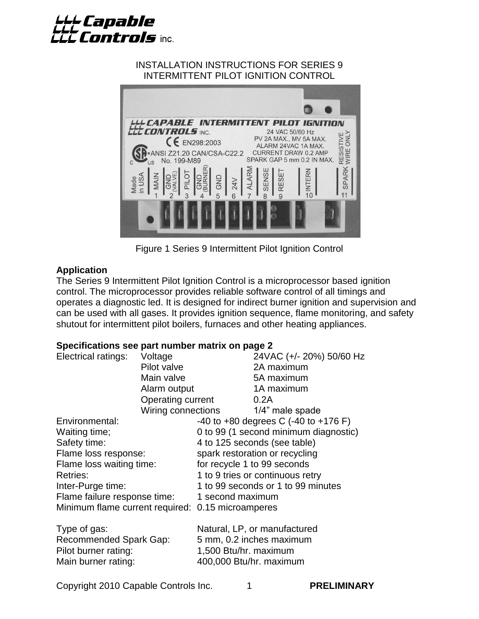

#### INSTALLATION INSTRUCTIONS FOR SERIES 9 INTERMITTENT PILOT IGNITION CONTROL



Figure 1 Series 9 Intermittent Pilot Ignition Control

#### **Application**

The Series 9 Intermittent Pilot Ignition Control is a microprocessor based ignition control. The microprocessor provides reliable software control of all timings and operates a diagnostic led. It is designed for indirect burner ignition and supervision and can be used with all gases. It provides ignition sequence, flame monitoring, and safety shutout for intermittent pilot boilers, furnaces and other heating appliances.

#### **Specifications see part number matrix on page 2**

| Electrical ratings:                               | Voltage            |                                       | 24VAC (+/- 20%) 50/60 Hz                     |  |
|---------------------------------------------------|--------------------|---------------------------------------|----------------------------------------------|--|
|                                                   | Pilot valve        |                                       | 2A maximum                                   |  |
|                                                   | Main valve         |                                       | 5A maximum                                   |  |
|                                                   | Alarm output       |                                       | 1A maximum                                   |  |
|                                                   | Operating current  |                                       | 0.2A                                         |  |
|                                                   | Wiring connections |                                       | 1/4" male spade                              |  |
| Environmental:                                    |                    |                                       | $-40$ to $+80$ degrees C $(-40$ to $+176$ F) |  |
| Waiting time;                                     |                    | 0 to 99 (1 second minimum diagnostic) |                                              |  |
| Safety time:                                      |                    | 4 to 125 seconds (see table)          |                                              |  |
| Flame loss response:                              |                    | spark restoration or recycling        |                                              |  |
| Flame loss waiting time:                          |                    | for recycle 1 to 99 seconds           |                                              |  |
| <b>Retries:</b>                                   |                    | 1 to 9 tries or continuous retry      |                                              |  |
| Inter-Purge time:                                 |                    | 1 to 99 seconds or 1 to 99 minutes    |                                              |  |
| Flame failure response time:                      |                    | 1 second maximum                      |                                              |  |
| Minimum flame current required: 0.15 microamperes |                    |                                       |                                              |  |
| Type of gas:                                      |                    |                                       | Natural, LP, or manufactured                 |  |
| Recommended Spark Gap:                            |                    | 5 mm, 0.2 inches maximum              |                                              |  |
| Pilot burner rating:                              |                    | 1,500 Btu/hr. maximum                 |                                              |  |
| Main burner rating:                               |                    |                                       | 400,000 Btu/hr. maximum                      |  |

Copyright 2010 Capable Controls Inc. 1 **PRELIMINARY**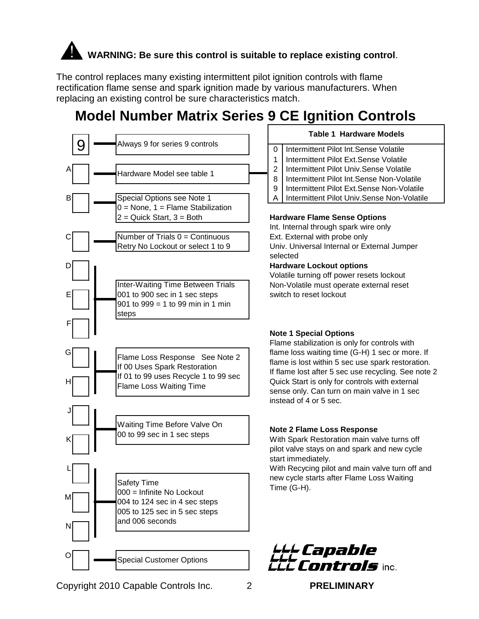# **WARNING: Be sure this control is suitable to replace existing control**.

The control replaces many existing intermittent pilot ignition controls with flame rectification flame sense and spark ignition made by various manufacturers. When replacing an existing control be sure characteristics match.

# **Model Number Matrix Series 9 CE Ignition Controls**

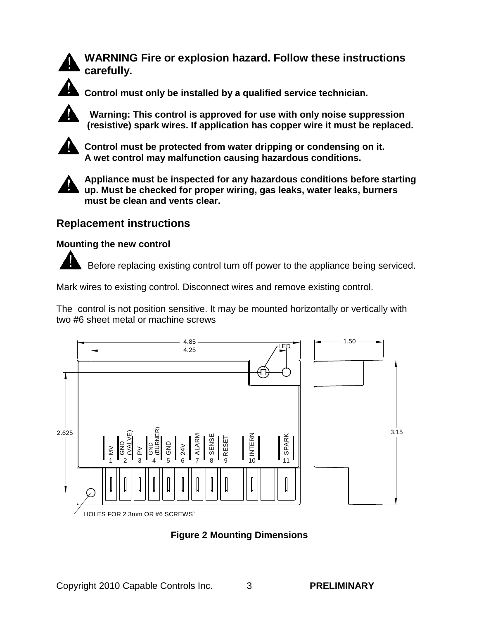

**WARNING Fire or explosion hazard. Follow these instructions carefully.**



**Control must only be installed by a qualified service technician.**

 **Warning: This control is approved for use with only noise suppression (resistive) spark wires. If application has copper wire it must be replaced.**



**Control must be protected from water dripping or condensing on it. A wet control may malfunction causing hazardous conditions.**



**Appliance must be inspected for any hazardous conditions before starting up. Must be checked for proper wiring, gas leaks, water leaks, burners must be clean and vents clear.**

### **Replacement instructions**

#### **Mounting the new control**

Before replacing existing control turn off power to the appliance being serviced.

Mark wires to existing control. Disconnect wires and remove existing control.

The control is not position sensitive. It may be mounted horizontally or vertically with two #6 sheet metal or machine screws



**Figure 2 Mounting Dimensions**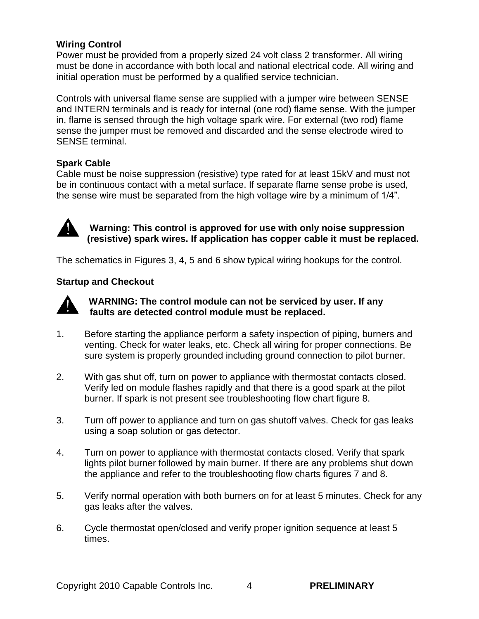#### **Wiring Control**

Power must be provided from a properly sized 24 volt class 2 transformer. All wiring must be done in accordance with both local and national electrical code. All wiring and initial operation must be performed by a qualified service technician.

Controls with universal flame sense are supplied with a jumper wire between SENSE and INTERN terminals and is ready for internal (one rod) flame sense. With the jumper in, flame is sensed through the high voltage spark wire. For external (two rod) flame sense the jumper must be removed and discarded and the sense electrode wired to SENSE terminal.

#### **Spark Cable**

Cable must be noise suppression (resistive) type rated for at least 15kV and must not be in continuous contact with a metal surface. If separate flame sense probe is used, the sense wire must be separated from the high voltage wire by a minimum of 1/4".



 **Warning: This control is approved for use with only noise suppression (resistive) spark wires. If application has copper cable it must be replaced.**

The schematics in Figures 3, 4, 5 and 6 show typical wiring hookups for the control.

#### **Startup and Checkout**



#### **WARNING: The control module can not be serviced by user. If any faults are detected control module must be replaced.**

- 1. Before starting the appliance perform a safety inspection of piping, burners and venting. Check for water leaks, etc. Check all wiring for proper connections. Be sure system is properly grounded including ground connection to pilot burner.
- 2. With gas shut off, turn on power to appliance with thermostat contacts closed. Verify led on module flashes rapidly and that there is a good spark at the pilot burner. If spark is not present see troubleshooting flow chart figure 8.
- 3. Turn off power to appliance and turn on gas shutoff valves. Check for gas leaks using a soap solution or gas detector.
- 4. Turn on power to appliance with thermostat contacts closed. Verify that spark lights pilot burner followed by main burner. If there are any problems shut down the appliance and refer to the troubleshooting flow charts figures 7 and 8.
- 5. Verify normal operation with both burners on for at least 5 minutes. Check for any gas leaks after the valves.
- 6. Cycle thermostat open/closed and verify proper ignition sequence at least 5 times.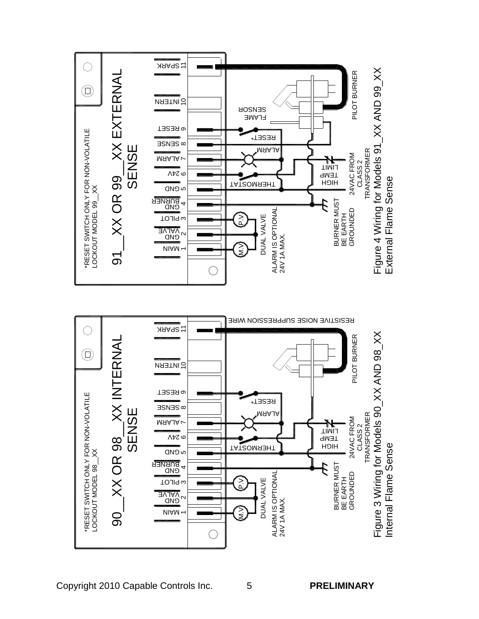

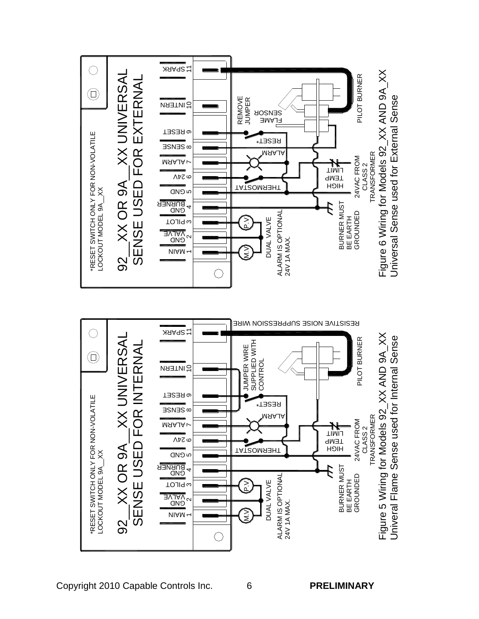

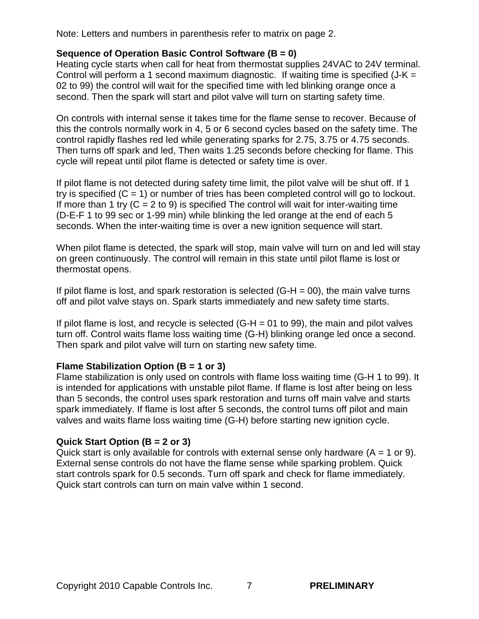Note: Letters and numbers in parenthesis refer to matrix on page 2.

#### **Sequence of Operation Basic Control Software (B = 0)**

Heating cycle starts when call for heat from thermostat supplies 24VAC to 24V terminal. Control will perform a 1 second maximum diagnostic. If waiting time is specified  $(J-K =$ 02 to 99) the control will wait for the specified time with led blinking orange once a second. Then the spark will start and pilot valve will turn on starting safety time.

On controls with internal sense it takes time for the flame sense to recover. Because of this the controls normally work in 4, 5 or 6 second cycles based on the safety time. The control rapidly flashes red led while generating sparks for 2.75, 3.75 or 4.75 seconds. Then turns off spark and led, Then waits 1.25 seconds before checking for flame. This cycle will repeat until pilot flame is detected or safety time is over.

If pilot flame is not detected during safety time limit, the pilot valve will be shut off. If 1 try is specified  $(C = 1)$  or number of tries has been completed control will go to lockout. If more than 1 try  $(C = 2$  to 9) is specified The control will wait for inter-waiting time (D-E-F 1 to 99 sec or 1-99 min) while blinking the led orange at the end of each 5 seconds. When the inter-waiting time is over a new ignition sequence will start.

When pilot flame is detected, the spark will stop, main valve will turn on and led will stay on green continuously. The control will remain in this state until pilot flame is lost or thermostat opens.

If pilot flame is lost, and spark restoration is selected  $(G-H = 00)$ , the main valve turns off and pilot valve stays on. Spark starts immediately and new safety time starts.

If pilot flame is lost, and recycle is selected  $(G-H = 01$  to 99), the main and pilot valves turn off. Control waits flame loss waiting time (G-H) blinking orange led once a second. Then spark and pilot valve will turn on starting new safety time.

#### **Flame Stabilization Option (B = 1 or 3)**

Flame stabilization is only used on controls with flame loss waiting time (G-H 1 to 99). It is intended for applications with unstable pilot flame. If flame is lost after being on less than 5 seconds, the control uses spark restoration and turns off main valve and starts spark immediately. If flame is lost after 5 seconds, the control turns off pilot and main valves and waits flame loss waiting time (G-H) before starting new ignition cycle.

#### **Quick Start Option (B = 2 or 3)**

Quick start is only available for controls with external sense only hardware  $(A = 1 \text{ or } 9)$ . External sense controls do not have the flame sense while sparking problem. Quick start controls spark for 0.5 seconds. Turn off spark and check for flame immediately. Quick start controls can turn on main valve within 1 second.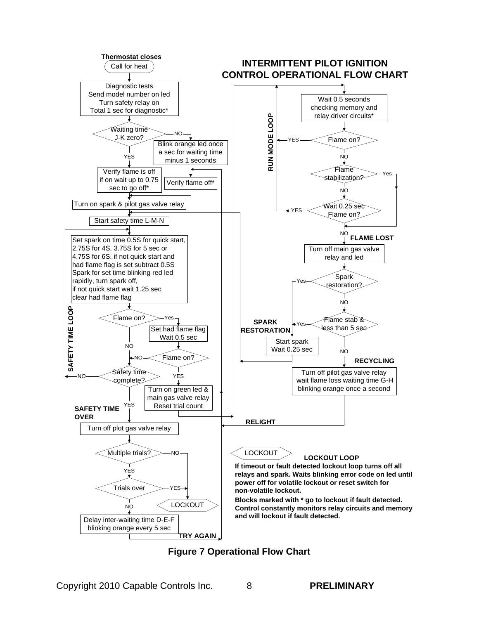

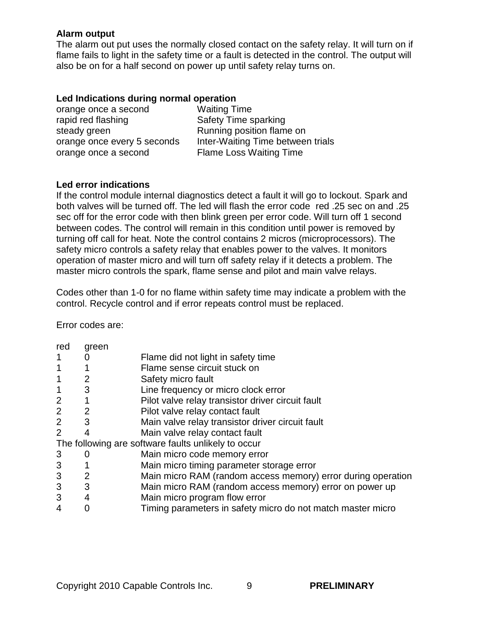#### **Alarm output**

The alarm out put uses the normally closed contact on the safety relay. It will turn on if flame fails to light in the safety time or a fault is detected in the control. The output will also be on for a half second on power up until safety relay turns on.

#### **Led Indications during normal operation**

| orange once a second        | <b>Waiting Time</b>               |
|-----------------------------|-----------------------------------|
| rapid red flashing          | Safety Time sparking              |
| steady green                | Running position flame on         |
| orange once every 5 seconds | Inter-Waiting Time between trials |
| orange once a second        | <b>Flame Loss Waiting Time</b>    |
|                             |                                   |

#### **Led error indications**

If the control module internal diagnostics detect a fault it will go to lockout. Spark and both valves will be turned off. The led will flash the error code red .25 sec on and .25 sec off for the error code with then blink green per error code. Will turn off 1 second between codes. The control will remain in this condition until power is removed by turning off call for heat. Note the control contains 2 micros (microprocessors). The safety micro controls a safety relay that enables power to the valves. It monitors operation of master micro and will turn off safety relay if it detects a problem. The master micro controls the spark, flame sense and pilot and main valve relays.

Codes other than 1-0 for no flame within safety time may indicate a problem with the control. Recycle control and if error repeats control must be replaced.

Error codes are:

| red                                                 | green |                                                              |  |  |
|-----------------------------------------------------|-------|--------------------------------------------------------------|--|--|
|                                                     |       | Flame did not light in safety time                           |  |  |
| $\mathbf 1$                                         |       | Flame sense circuit stuck on                                 |  |  |
| $\mathbf 1$                                         | 2     | Safety micro fault                                           |  |  |
| $\mathbf 1$                                         | 3     | Line frequency or micro clock error                          |  |  |
| $\overline{2}$                                      | 1     | Pilot valve relay transistor driver circuit fault            |  |  |
| 2                                                   | 2     | Pilot valve relay contact fault                              |  |  |
| 2                                                   | 3     | Main valve relay transistor driver circuit fault             |  |  |
| 2                                                   |       | Main valve relay contact fault                               |  |  |
| The following are software faults unlikely to occur |       |                                                              |  |  |
| 3                                                   | O     | Main micro code memory error                                 |  |  |
| 3                                                   |       | Main micro timing parameter storage error                    |  |  |
| 3                                                   | 2     | Main micro RAM (random access memory) error during operation |  |  |
| 3                                                   | 3     | Main micro RAM (random access memory) error on power up      |  |  |
| 3                                                   | 4     | Main micro program flow error                                |  |  |
| 4                                                   |       | Timing parameters in safety micro do not match master micro  |  |  |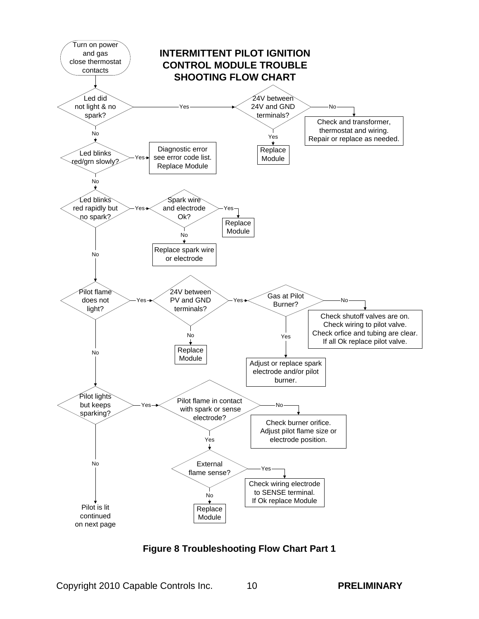

**Figure 8 Troubleshooting Flow Chart Part 1**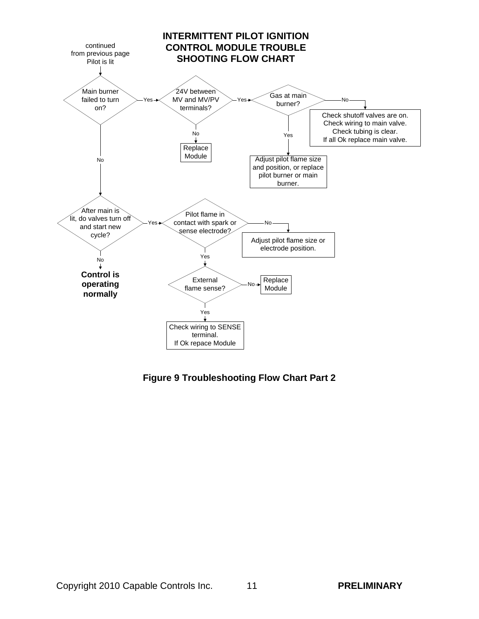

**Figure 9 Troubleshooting Flow Chart Part 2**